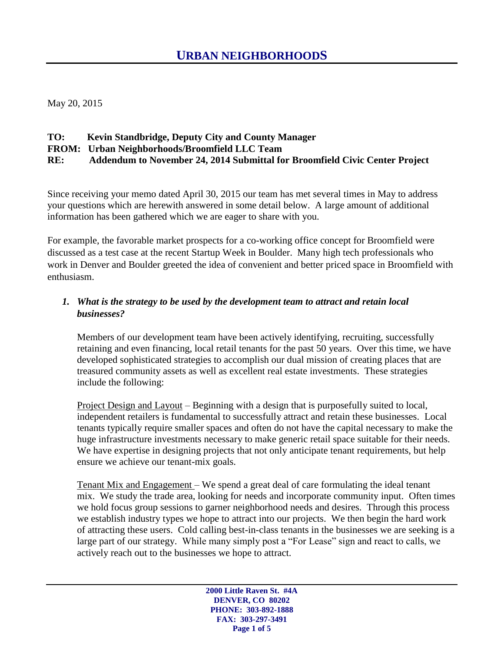May 20, 2015

#### **TO: Kevin Standbridge, Deputy City and County Manager**

#### **FROM: Urban Neighborhoods/Broomfield LLC Team**

**RE: Addendum to November 24, 2014 Submittal for Broomfield Civic Center Project**

Since receiving your memo dated April 30, 2015 our team has met several times in May to address your questions which are herewith answered in some detail below. A large amount of additional information has been gathered which we are eager to share with you.

For example, the favorable market prospects for a co-working office concept for Broomfield were discussed as a test case at the recent Startup Week in Boulder. Many high tech professionals who work in Denver and Boulder greeted the idea of convenient and better priced space in Broomfield with enthusiasm.

#### *1. What is the strategy to be used by the development team to attract and retain local businesses?*

Members of our development team have been actively identifying, recruiting, successfully retaining and even financing, local retail tenants for the past 50 years. Over this time, we have developed sophisticated strategies to accomplish our dual mission of creating places that are treasured community assets as well as excellent real estate investments. These strategies include the following:

Project Design and Layout – Beginning with a design that is purposefully suited to local, independent retailers is fundamental to successfully attract and retain these businesses. Local tenants typically require smaller spaces and often do not have the capital necessary to make the huge infrastructure investments necessary to make generic retail space suitable for their needs. We have expertise in designing projects that not only anticipate tenant requirements, but help ensure we achieve our tenant-mix goals.

Tenant Mix and Engagement – We spend a great deal of care formulating the ideal tenant mix. We study the trade area, looking for needs and incorporate community input. Often times we hold focus group sessions to garner neighborhood needs and desires. Through this process we establish industry types we hope to attract into our projects. We then begin the hard work of attracting these users. Cold calling best-in-class tenants in the businesses we are seeking is a large part of our strategy. While many simply post a "For Lease" sign and react to calls, we actively reach out to the businesses we hope to attract.

> **2000 Little Raven St. #4A DENVER, CO 80202 PHONE: 303-892-1888 FAX: 303-297-3491 Page 1 of 5**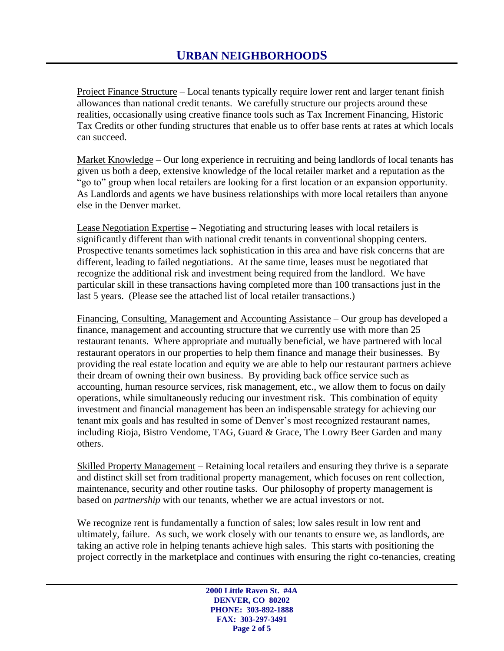Project Finance Structure – Local tenants typically require lower rent and larger tenant finish allowances than national credit tenants. We carefully structure our projects around these realities, occasionally using creative finance tools such as Tax Increment Financing, Historic Tax Credits or other funding structures that enable us to offer base rents at rates at which locals can succeed.

Market Knowledge – Our long experience in recruiting and being landlords of local tenants has given us both a deep, extensive knowledge of the local retailer market and a reputation as the "go to" group when local retailers are looking for a first location or an expansion opportunity. As Landlords and agents we have business relationships with more local retailers than anyone else in the Denver market.

Lease Negotiation Expertise – Negotiating and structuring leases with local retailers is significantly different than with national credit tenants in conventional shopping centers. Prospective tenants sometimes lack sophistication in this area and have risk concerns that are different, leading to failed negotiations. At the same time, leases must be negotiated that recognize the additional risk and investment being required from the landlord. We have particular skill in these transactions having completed more than 100 transactions just in the last 5 years. (Please see the attached list of local retailer transactions.)

Financing, Consulting, Management and Accounting Assistance – Our group has developed a finance, management and accounting structure that we currently use with more than 25 restaurant tenants. Where appropriate and mutually beneficial, we have partnered with local restaurant operators in our properties to help them finance and manage their businesses. By providing the real estate location and equity we are able to help our restaurant partners achieve their dream of owning their own business. By providing back office service such as accounting, human resource services, risk management, etc., we allow them to focus on daily operations, while simultaneously reducing our investment risk. This combination of equity investment and financial management has been an indispensable strategy for achieving our tenant mix goals and has resulted in some of Denver's most recognized restaurant names, including Rioja, Bistro Vendome, TAG, Guard & Grace, The Lowry Beer Garden and many others.

Skilled Property Management – Retaining local retailers and ensuring they thrive is a separate and distinct skill set from traditional property management, which focuses on rent collection, maintenance, security and other routine tasks. Our philosophy of property management is based on *partnership* with our tenants, whether we are actual investors or not.

We recognize rent is fundamentally a function of sales; low sales result in low rent and ultimately, failure. As such, we work closely with our tenants to ensure we, as landlords, are taking an active role in helping tenants achieve high sales. This starts with positioning the project correctly in the marketplace and continues with ensuring the right co-tenancies, creating

> **2000 Little Raven St. #4A DENVER, CO 80202 PHONE: 303-892-1888 FAX: 303-297-3491 Page 2 of 5**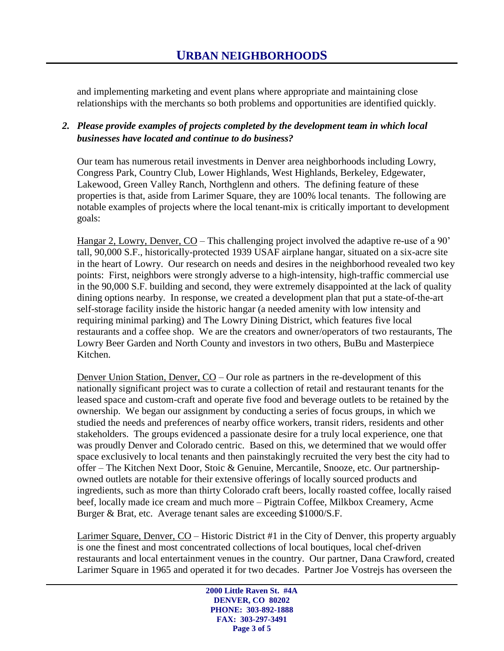and implementing marketing and event plans where appropriate and maintaining close relationships with the merchants so both problems and opportunities are identified quickly.

#### *2. Please provide examples of projects completed by the development team in which local businesses have located and continue to do business?*

Our team has numerous retail investments in Denver area neighborhoods including Lowry, Congress Park, Country Club, Lower Highlands, West Highlands, Berkeley, Edgewater, Lakewood, Green Valley Ranch, Northglenn and others. The defining feature of these properties is that, aside from Larimer Square, they are 100% local tenants. The following are notable examples of projects where the local tenant-mix is critically important to development goals:

Hangar 2, Lowry, Denver, CO – This challenging project involved the adaptive re-use of a 90' tall, 90,000 S.F., historically-protected 1939 USAF airplane hangar, situated on a six-acre site in the heart of Lowry. Our research on needs and desires in the neighborhood revealed two key points: First, neighbors were strongly adverse to a high-intensity, high-traffic commercial use in the 90,000 S.F. building and second, they were extremely disappointed at the lack of quality dining options nearby. In response, we created a development plan that put a state-of-the-art self-storage facility inside the historic hangar (a needed amenity with low intensity and requiring minimal parking) and The Lowry Dining District, which features five local restaurants and a coffee shop. We are the creators and owner/operators of two restaurants, The Lowry Beer Garden and North County and investors in two others, BuBu and Masterpiece Kitchen.

Denver Union Station, Denver, CO – Our role as partners in the re-development of this nationally significant project was to curate a collection of retail and restaurant tenants for the leased space and custom-craft and operate five food and beverage outlets to be retained by the ownership. We began our assignment by conducting a series of focus groups, in which we studied the needs and preferences of nearby office workers, transit riders, residents and other stakeholders. The groups evidenced a passionate desire for a truly local experience, one that was proudly Denver and Colorado centric. Based on this, we determined that we would offer space exclusively to local tenants and then painstakingly recruited the very best the city had to offer – The Kitchen Next Door, Stoic & Genuine, Mercantile, Snooze, etc. Our partnershipowned outlets are notable for their extensive offerings of locally sourced products and ingredients, such as more than thirty Colorado craft beers, locally roasted coffee, locally raised beef, locally made ice cream and much more – Pigtrain Coffee, Milkbox Creamery, Acme Burger & Brat, etc. Average tenant sales are exceeding \$1000/S.F.

Larimer Square, Denver, CO - Historic District #1 in the City of Denver, this property arguably is one the finest and most concentrated collections of local boutiques, local chef-driven restaurants and local entertainment venues in the country. Our partner, Dana Crawford, created Larimer Square in 1965 and operated it for two decades. Partner Joe Vostrejs has overseen the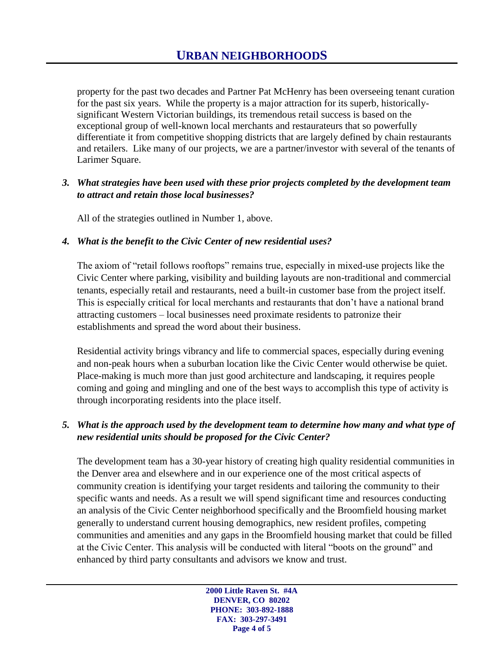property for the past two decades and Partner Pat McHenry has been overseeing tenant curation for the past six years. While the property is a major attraction for its superb, historicallysignificant Western Victorian buildings, its tremendous retail success is based on the exceptional group of well-known local merchants and restaurateurs that so powerfully differentiate it from competitive shopping districts that are largely defined by chain restaurants and retailers. Like many of our projects, we are a partner/investor with several of the tenants of Larimer Square.

#### *3. What strategies have been used with these prior projects completed by the development team to attract and retain those local businesses?*

All of the strategies outlined in Number 1, above.

#### *4. What is the benefit to the Civic Center of new residential uses?*

The axiom of "retail follows rooftops" remains true, especially in mixed-use projects like the Civic Center where parking, visibility and building layouts are non-traditional and commercial tenants, especially retail and restaurants, need a built-in customer base from the project itself. This is especially critical for local merchants and restaurants that don't have a national brand attracting customers – local businesses need proximate residents to patronize their establishments and spread the word about their business.

Residential activity brings vibrancy and life to commercial spaces, especially during evening and non-peak hours when a suburban location like the Civic Center would otherwise be quiet. Place-making is much more than just good architecture and landscaping, it requires people coming and going and mingling and one of the best ways to accomplish this type of activity is through incorporating residents into the place itself.

#### *5. What is the approach used by the development team to determine how many and what type of new residential units should be proposed for the Civic Center?*

The development team has a 30-year history of creating high quality residential communities in the Denver area and elsewhere and in our experience one of the most critical aspects of community creation is identifying your target residents and tailoring the community to their specific wants and needs. As a result we will spend significant time and resources conducting an analysis of the Civic Center neighborhood specifically and the Broomfield housing market generally to understand current housing demographics, new resident profiles, competing communities and amenities and any gaps in the Broomfield housing market that could be filled at the Civic Center. This analysis will be conducted with literal "boots on the ground" and enhanced by third party consultants and advisors we know and trust.

> **2000 Little Raven St. #4A DENVER, CO 80202 PHONE: 303-892-1888 FAX: 303-297-3491 Page 4 of 5**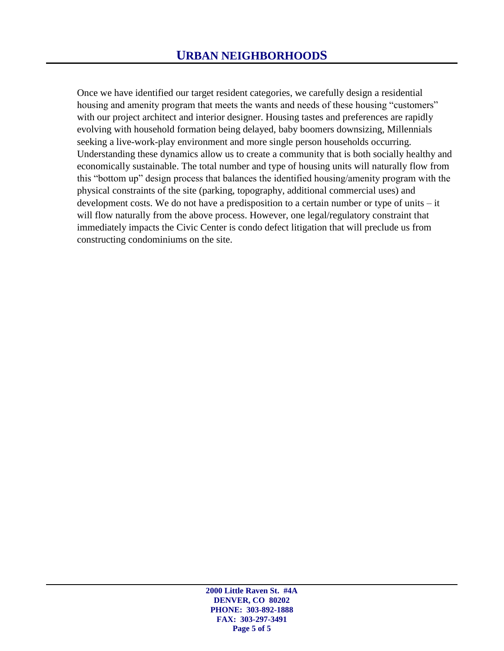Once we have identified our target resident categories, we carefully design a residential housing and amenity program that meets the wants and needs of these housing "customers" with our project architect and interior designer. Housing tastes and preferences are rapidly evolving with household formation being delayed, baby boomers downsizing, Millennials seeking a live-work-play environment and more single person households occurring. Understanding these dynamics allow us to create a community that is both socially healthy and economically sustainable. The total number and type of housing units will naturally flow from this "bottom up" design process that balances the identified housing/amenity program with the physical constraints of the site (parking, topography, additional commercial uses) and development costs. We do not have a predisposition to a certain number or type of units – it will flow naturally from the above process. However, one legal/regulatory constraint that immediately impacts the Civic Center is condo defect litigation that will preclude us from constructing condominiums on the site.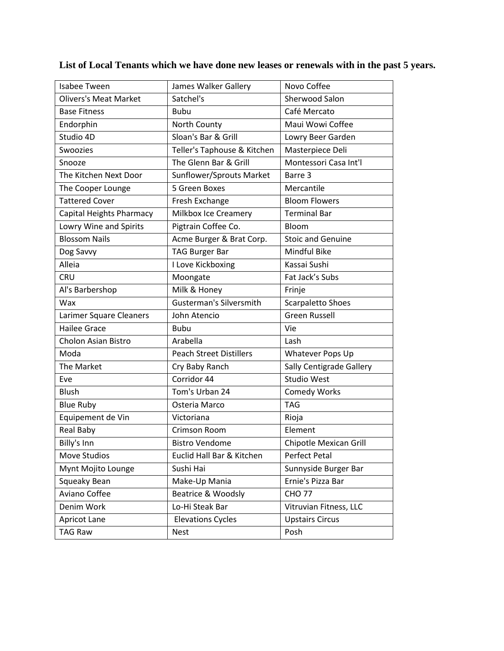| Isabee Tween                 | James Walker Gallery           | Novo Coffee              |
|------------------------------|--------------------------------|--------------------------|
| <b>Olivers's Meat Market</b> | Satchel's                      | Sherwood Salon           |
| <b>Base Fitness</b>          | <b>Bubu</b>                    | Café Mercato             |
| Endorphin                    | North County                   | Maui Wowi Coffee         |
| Studio 4D                    | Sloan's Bar & Grill            | Lowry Beer Garden        |
| Swoozies                     | Teller's Taphouse & Kitchen    | Masterpiece Deli         |
| Snooze                       | The Glenn Bar & Grill          | Montessori Casa Int'l    |
| The Kitchen Next Door        | Sunflower/Sprouts Market       | Barre 3                  |
| The Cooper Lounge            | 5 Green Boxes                  | Mercantile               |
| <b>Tattered Cover</b>        | Fresh Exchange                 | <b>Bloom Flowers</b>     |
| Capital Heights Pharmacy     | Milkbox Ice Creamery           | <b>Terminal Bar</b>      |
| Lowry Wine and Spirits       | Pigtrain Coffee Co.            | Bloom                    |
| <b>Blossom Nails</b>         | Acme Burger & Brat Corp.       | <b>Stoic and Genuine</b> |
| Dog Savvy                    | <b>TAG Burger Bar</b>          | <b>Mindful Bike</b>      |
| Alleia                       | I Love Kickboxing              | Kassai Sushi             |
| <b>CRU</b>                   | Moongate                       | Fat Jack's Subs          |
| Al's Barbershop              | Milk & Honey                   | Frinje                   |
| Wax                          | <b>Gusterman's Silversmith</b> | <b>Scarpaletto Shoes</b> |
| Larimer Square Cleaners      | John Atencio                   | <b>Green Russell</b>     |
| <b>Hailee Grace</b>          | <b>Bubu</b>                    | Vie                      |
| Cholon Asian Bistro          | Arabella                       | Lash                     |
| Moda                         | <b>Peach Street Distillers</b> | Whatever Pops Up         |
| The Market                   | Cry Baby Ranch                 | Sally Centigrade Gallery |
| Eve                          | Corridor 44                    | <b>Studio West</b>       |
| <b>Blush</b>                 | Tom's Urban 24                 | <b>Comedy Works</b>      |
| <b>Blue Ruby</b>             | Osteria Marco                  | <b>TAG</b>               |
| Equipement de Vin            | Victoriana                     | Rioja                    |
| Real Baby                    | Crimson Room                   | Element                  |
| Billy's Inn                  | <b>Bistro Vendome</b>          | Chipotle Mexican Grill   |
| Move Studios                 | Euclid Hall Bar & Kitchen      | Perfect Petal            |
| Mynt Mojito Lounge           | Sushi Hai                      | Sunnyside Burger Bar     |
| Squeaky Bean                 | Make-Up Mania                  | Ernie's Pizza Bar        |
| Aviano Coffee                | Beatrice & Woodsly             | <b>CHO 77</b>            |
| Denim Work                   | Lo-Hi Steak Bar                | Vitruvian Fitness, LLC   |
| Apricot Lane                 | <b>Elevations Cycles</b>       | <b>Upstairs Circus</b>   |
| <b>TAG Raw</b>               | <b>Nest</b>                    | Posh                     |
|                              |                                |                          |

**List of Local Tenants which we have done new leases or renewals with in the past 5 years.**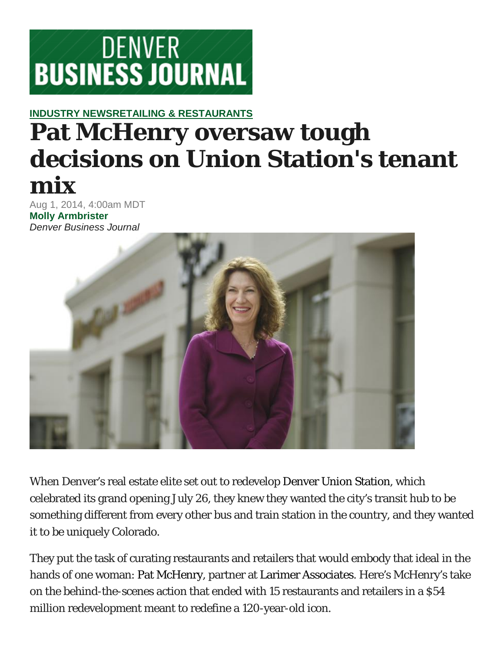

## **[INDUSTRY NEWSRETAILING & RESTAURANTS](http://www.bizjournals.com/denver/industry-news/) Pat McHenry oversaw tough decisions on Union Station's tenant mix**

Aug 1, 2014, 4:00am MDT **[Molly Armbrister](http://www.bizjournals.com/denver/bio/23511/Molly+Armbrister)** *Denver Business Journal*



When Denver's real estate elite set out to redevelop [Denver Union Station,](http://www.bizjournals.com/profiles/company/us/co/denver/denver_union_station/2460594) which celebrated its grand opening July 26, they knew they wanted the city's transit hub to be something different from every other bus and train station in the country, and they wanted it to be uniquely Colorado.

They put the task of curating restaurants and retailers that would embody that ideal in the hands of one woman: [Pat McHenry,](http://www.bizjournals.com/denver/search/results?q=Pat%20McHenry) partner at [Larimer Associates.](http://www.bizjournals.com/profiles/company/us/co/denver/larimer_associates/3357409) Here's McHenry's take on the behind-the-scenes action that ended with 15 restaurants and retailers in a \$54 million redevelopment meant to redefine a 120-year-old icon.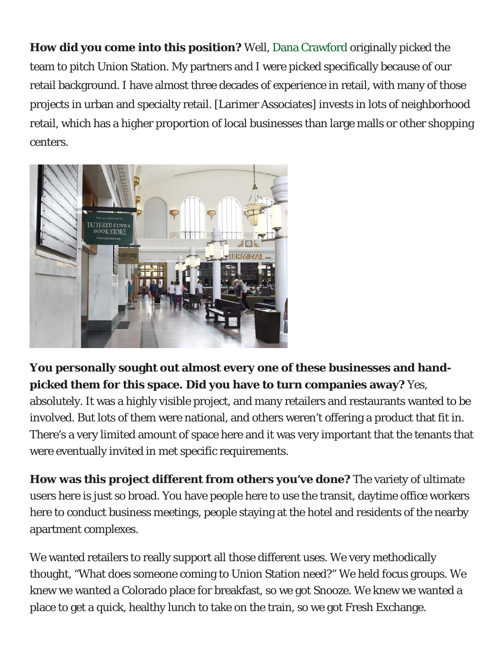**How did you come into this position?** Well, [Dana Crawford](http://www.bizjournals.com/denver/search/results?q=Dana%20Crawford) originally picked the team to pitch Union Station. My partners and I were picked specifically because of our retail background. I have almost three decades of experience in retail, with many of those projects in urban and specialty retail. [Larimer Associates] invests in lots of neighborhood retail, which has a higher proportion of local businesses than large malls or other shopping centers.



**You personally sought out almost every one of these businesses and handpicked them for this space. Did you have to turn companies away?** Yes, absolutely. It was a highly visible project, and many retailers and restaurants wanted to be involved. But lots of them were national, and others weren't offering a product that fit in. There's a very limited amount of space here and it was very important that the tenants that were eventually invited in met specific requirements.

**How was this project different from others you've done?** The variety of ultimate users here is just so broad. You have people here to use the transit, daytime office workers here to conduct business meetings, people staying at the hotel and residents of the nearby apartment complexes.

We wanted retailers to really support all those different uses. We very methodically thought, "What does someone coming to Union Station need?" We held focus groups. We knew we wanted a Colorado place for breakfast, so we got Snooze. We knew we wanted a place to get a quick, healthy lunch to take on the train, so we got Fresh Exchange.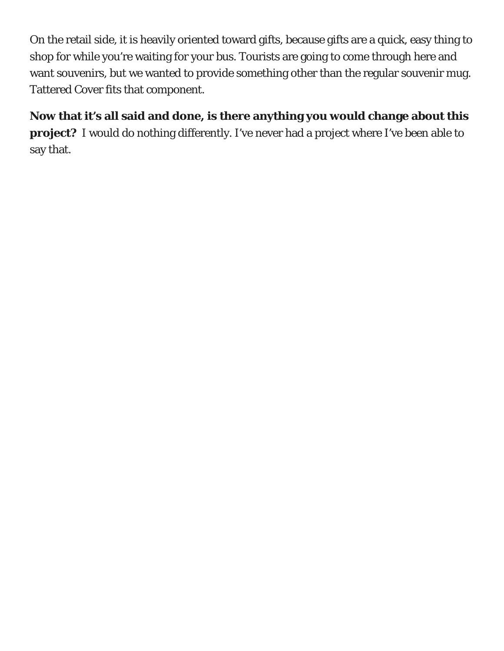On the retail side, it is heavily oriented toward gifts, because gifts are a quick, easy thing to shop for while you're waiting for your bus. Tourists are going to come through here and want souvenirs, but we wanted to provide something other than the regular souvenir mug. Tattered Cover fits that component.

#### **Now that it's all said and done, is there anything you would change about this**

**project?** I would do nothing differently. I've never had a project where I've been able to say that.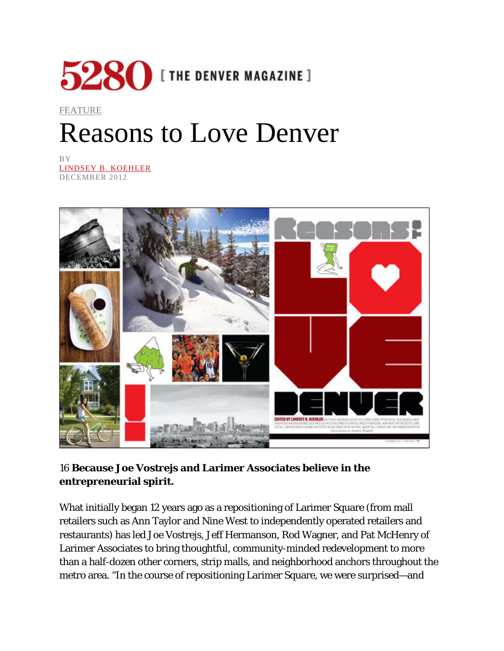

### [FEATURE](http://www.5280.com/taxonomy/term/11008) Reasons to Love Denver

BY [LINDSEY B. KOEHLER](http://www.5280.com/tag/authors/lindsey-b-koehler) DECEMBER 2012



#### 16 **Because Joe Vostrejs and Larimer Associates believe in the entrepreneurial spirit.**

What initially began 12 years ago as a repositioning of Larimer Square (from mall retailers such as Ann Taylor and Nine West to independently operated retailers and restaurants) has led Joe Vostrejs, Jeff Hermanson, Rod Wagner, and Pat McHenry of Larimer Associates to bring thoughtful, community-minded redevelopment to more than a half-dozen other corners, strip malls, and neighborhood anchors throughout the metro area. "In the course of repositioning Larimer Square, we were surprised—and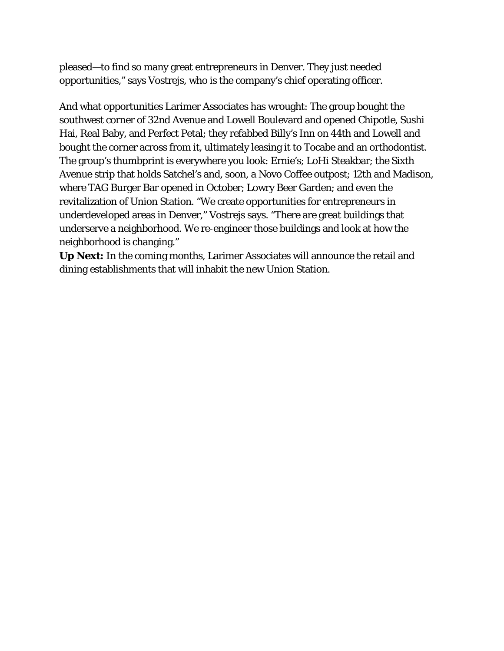pleased—to find so many great entrepreneurs in Denver. They just needed opportunities," says Vostrejs, who is the company's chief operating officer.

And what opportunities Larimer Associates has wrought: The group bought the southwest corner of 32nd Avenue and Lowell Boulevard and opened Chipotle, Sushi Hai, Real Baby, and Perfect Petal; they refabbed Billy's Inn on 44th and Lowell and bought the corner across from it, ultimately leasing it to Tocabe and an orthodontist. The group's thumbprint is everywhere you look: Ernie's; LoHi Steakbar; the Sixth Avenue strip that holds Satchel's and, soon, a Novo Coffee outpost; 12th and Madison, where TAG Burger Bar opened in October; Lowry Beer Garden; and even the revitalization of Union Station. "We create opportunities for entrepreneurs in underdeveloped areas in Denver," Vostrejs says. "There are great buildings that underserve a neighborhood. We re-engineer those buildings and look at how the neighborhood is changing."

**Up Next:** In the coming months, Larimer Associates will announce the retail and dining establishments that will inhabit the new Union Station.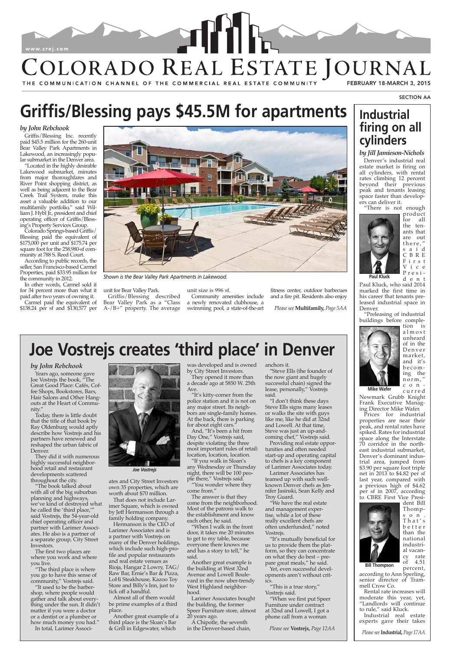#### *by Jill Jamieson-Nichols*

Denver's industrial real estate market is firing on all cylinders, with rental rates climbing 12 percent beyond their previous peak and tenants leasing space faster than developers can deliver it.

> product<br>for all all the tenants that are out there," s a i d C B R E F i r s t V i c e Presi d e n t

"There is not enough



Paul Kluck, who said 2014 marked the first time in his career that tenants preleased industrial space in Denver.

"Preleasing of industrial buildings before comple-



tion is a l m o s t unheard of in the D e n v e r market, and it's becom ing the n o r m , " con c u r r e d

Newmark Grubb Knight Frank Executive Managing Director Mike Wafer.

Prices for industrial properties are near their peak, and rental rates have spiked. Rates for industrial space along the Interstate 70 corridor in the northeast industrial submarket, Denver's dominant industrial area, jumped from \$3.90 per square foot triple net in 2013 to \$4.82 per sf last year, compared with a previous high of \$4.62 per sf in 2007, according to CBRE First Vice Presi-

> Thomps o n . T h a t ' s b e t t e r than the national industrial vacancy rate<br>of 4.51 4.51 percent,

according to Ann Sperling, senior director of Trammell Crow Co.

Rental rate increases will moderate this year, yet, "Landlords will continue to rule," said Kluck.

Industrial real estate experts gave their takes

#### *by John Rebchook*

Griffis/Blessing Inc. recently paid \$45.5 million for the 260-unit Bear Valley Park Apartments in Lakewood, an increasingly popular submarket in the Denver area.

"Located in the highly desirable Lakewood submarket, minutes from major thoroughfares and River Point shopping district, as well as being adjacent to the Bear Creek Trail System, make this asset a valuable addition to our multifamily portfolio," said William J. Hybl Jr., president and chief operating officer of Griffis/Blessing's Property Services Group.

> ates and City Street Investors own 35 properties, which are worth about \$70 million. That does not include L

Colorado Springs-based Griffis/ Blessing paid the equivalent of \$175,000 per unit and \$175.74 per square foot for the 258,980-sf community at 788 S. Reed Court.

According to public records, the seller, San Francisco-based Carmel Properties, paid \$33.95 million for the community in 2012.

In other words, Carmel sold it for 34 percent more than what it paid after two years of owning it.

Carmel paid the equivalent of \$138.24 per sf and \$130,577 per unit for Bear Valley Park.

Griffis/Blessing described Bear Valley Park as a "Class A-/B+" property. The average

unit size is 996 sf. Community amenities include a newly renovated clubhouse, a swimming pool, a state-of-the-art

fitness center, outdoor barbecues and a fire pit. Residents also enjoy

# **[Griffis/Blessing pays \\$45.5M for apartments](http://www.signatureflip.com/sf01/article.aspx/?i=1685) Industrial**

# **[firing on all](http://www.signatureflip.com/sf01/article.aspx/?i=1688)  cylinders**

#### *by John Rebchook*

Years ago, someone gave Joe Vostrejs the book, "The Great Good Place: Cafés, Coffee Shops, Bookstores, Bars, Hair Salons and Other Hangouts at the Heart of Community."

Today, there is little doubt that the title of that book by Ray Oldenburg would aptly describe how Vostrejs and his partners have renewed and reshaped the urban fabric of Denver.

They did it with numerous highly successful neighborhood retail and restaurant developments scattered throughout the city.

"The book talked about with all of the big suburban planning and highways,

we've kind of destroyed what he called the 'third place,'" said Vostrejs, the 54-year-old chief operating officer and partner with Larimer Associates. He also is a partner of a separate group, City Street Investors.

The first two places are where you work and where you live.

"The third place is where you go to have this sense of community," Vostrejs said. "It used to be the barbershop, where people would gather and talk about everything under the sun. It didn't matter if you were a doctor or a dentist or a plumber or how much money you had." In total, Larimer Associ-



imer Square, which is owned by Jeff Hermanson through a family holding company. Hermanson is the CEO of

Larimer Associates and is a partner with Vostrejs on many of the Denver holdings, which include such high-profile and popular restaurants and real estate venues as Rioja, Hangar 2 Lowry, TAG/ Raw Bar, Ernie's Bar & Pizza, LoHi Steakhouse, Kazoo Toy Store and Billy's Inn, just to tick off a handful.

Almost all of them would be prime examples of a third place.

Another great example of a third place is the Sloan's Bar & Grill in Edgewater, which

was developed and is owned by City Street Investors.

They opened it more than a decade ago at 5850 W. 25th Ave.

"It's kitty-corner from the police station and it is not on any major street. Its neighbors are single-family homes. At the back, there is parking for about eight cars."

And, "It's been a hit from Day One," Vostrejs said, despite violating the three most important rules of retail: location, location, location.

"If you walk in Sloan's any Wednesday or Thursday night, there will be 100 people there," Vostrejs said.

"You wonder where they come from."

The answer is that they

come from the neighborhood. Most of the patrons walk to the establishment and know each other, he said.

"When I walk in the front door, it takes me 20 minutes to get to my table, because everyone there knows me and has a story to tell," he said.

Another great example is the building at West 32nd Avenue and Lowell Boulevard in the now uber-trendy West Highland neighborhood.

Larimer Associates bought the building, the former Speer Furniture store, almost 20 years ago.

A Chipotle, the seventh in the Denver-based chain, anchors it.

"Steve Ells (the founder of the now giant and hugely successful chain) signed the lease, personally," Vostrejs said.

"I don't think these days Steve Ells signs many leases or walks the site with guys like me, like he did at 32nd and Lowell. At that time, Steve was just an up-andcoming chef," Vostrejs said.

Providing real estate opportunities and often needed start-up and operating capital to chefs is a key component of Larimer Associates today.

Larimer Associates has teamed up with such wellknown Denver chefs as Jennifer Jasinski, Sean Kelly and Troy Guard.

"We have the real estate and management expertise, while a lot of these really excellent chefs are often underfunded," noted Vostrejs.

"It's mutually beneficial for us to provide them the platform, so they can concentrate on what they do best – prepare great meals," he said.

Yet, even successful developments aren't without critics.

"This is a true story," Vostrejs said.

"When we first put Speer Furniture under contract at 32nd and Lowell, I got a phone call from a woman

## **[Joe Vostrejs creates 'third place' in Denver](http://www.signatureflip.com/sf01/article.aspx/?i=1690)**



*Joe Vostrejs*

SECTION AA



THE COMMUNICATION CHANNEL OF THE COMMERCIAL REAL ESTATE COMMUNITY



*Shown is the Bear Valley Park Apartments in Lakewood.*

*Please see***Industrial,** *Page 17AA*

*Please see* **Vostrejs,** *Page 12AA*

*Please see* **Multifamily,** *Page 5AA*

**Paul Kluck**

**Mike Wafer**